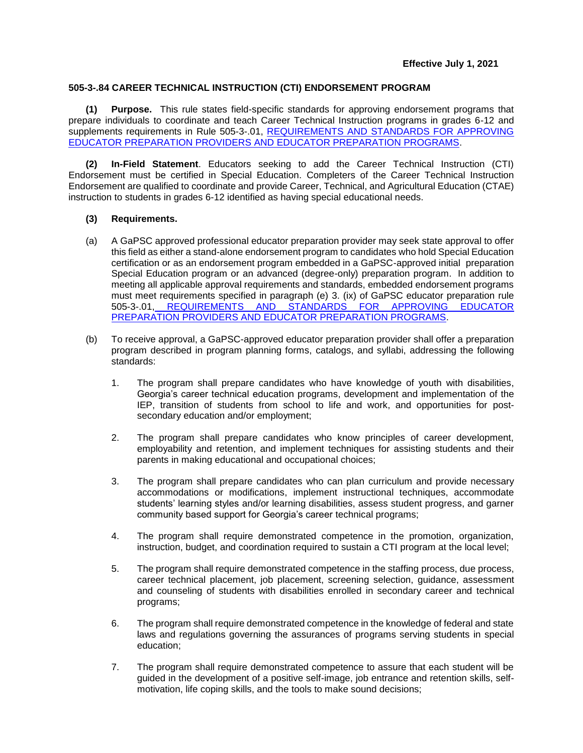## **505-3-.84 CAREER TECHNICAL INSTRUCTION (CTI) ENDORSEMENT PROGRAM**

**(1) Purpose.** This rule states field-specific standards for approving endorsement programs that prepare individuals to coordinate and teach Career Technical Instruction programs in grades 6-12 and supplements requirements in [Rule 505-3-.01, REQUIREMENTS AND STANDARDS FOR APPROVING](https://www.gapsc.com/Rules/Current/EducatorPreparation/505-3-.01.pdf?dt=%3C%25#Eval()  [EDUCATOR PREPARATION PROVIDERS AND EDUCATOR PREPARATION PROGRAMS.](https://www.gapsc.com/Rules/Current/EducatorPreparation/505-3-.01.pdf?dt=%3C%25#Eval()

**(2) In-Field Statement**. Educators seeking to add the Career Technical Instruction (CTI) Endorsement must be certified in Special Education. Completers of the Career Technical Instruction Endorsement are qualified to coordinate and provide Career, Technical, and Agricultural Education (CTAE) instruction to students in grades 6-12 identified as having special educational needs.

## **(3) Requirements.**

- (a) A GaPSC approved professional educator preparation provider may seek state approval to offer this field as either a stand-alone endorsement program to candidates who hold Special Education certification or as an endorsement program embedded in a GaPSC-approved initial preparation Special Education program or an advanced (degree-only) preparation program. In addition to meeting all applicable approval requirements and standards, embedded endorsement programs must meet requirements specified in paragraph (e) 3. (ix) of GaPSC educator preparation [rule](https://www.gapsc.com/Rules/Current/EducatorPreparation/505-3-.01.pdf?dt=%3C%25#Eval()  505-3-.01, [REQUIREMENTS AND STANDARDS FOR APPROVING EDUCATOR](https://www.gapsc.com/Rules/Current/EducatorPreparation/505-3-.01.pdf?dt=%3C%25#Eval()  [PREPARATION PROVIDERS AND EDUCATOR PREPARATION PROGRAMS.](https://www.gapsc.com/Rules/Current/EducatorPreparation/505-3-.01.pdf?dt=%3C%25#Eval()
- (b) To receive approval, a GaPSC-approved educator preparation provider shall offer a preparation program described in program planning forms, catalogs, and syllabi, addressing the following standards:
	- 1. The program shall prepare candidates who have knowledge of youth with disabilities, Georgia's career technical education programs, development and implementation of the IEP, transition of students from school to life and work, and opportunities for postsecondary education and/or employment;
	- 2. The program shall prepare candidates who know principles of career development, employability and retention, and implement techniques for assisting students and their parents in making educational and occupational choices;
	- 3. The program shall prepare candidates who can plan curriculum and provide necessary accommodations or modifications, implement instructional techniques, accommodate students' learning styles and/or learning disabilities, assess student progress, and garner community based support for Georgia's career technical programs;
	- 4. The program shall require demonstrated competence in the promotion, organization, instruction, budget, and coordination required to sustain a CTI program at the local level;
	- 5. The program shall require demonstrated competence in the staffing process, due process, career technical placement, job placement, screening selection, guidance, assessment and counseling of students with disabilities enrolled in secondary career and technical programs;
	- 6. The program shall require demonstrated competence in the knowledge of federal and state laws and regulations governing the assurances of programs serving students in special education;
	- 7. The program shall require demonstrated competence to assure that each student will be guided in the development of a positive self-image, job entrance and retention skills, selfmotivation, life coping skills, and the tools to make sound decisions;